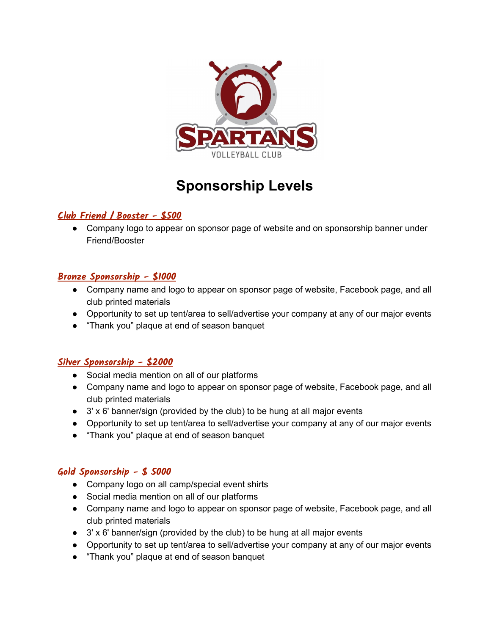

# **Sponsorship Levels**

# **Club Friend / Booster - \$500**

• Company logo to appear on sponsor page of website and on sponsorship banner under Friend/Booster

# **Bronze Sponsorship - \$1000**

- Company name and logo to appear on sponsor page of website, Facebook page, and all club printed materials
- Opportunity to set up tent/area to sell/advertise your company at any of our major events
- "Thank you" plaque at end of season banquet

# **Silver Sponsorship - \$2000**

- Social media mention on all of our platforms
- Company name and logo to appear on sponsor page of website, Facebook page, and all club printed materials
- $\bullet$  3' x 6' banner/sign (provided by the club) to be hung at all major events
- Opportunity to set up tent/area to sell/advertise your company at any of our major events
- "Thank you" plaque at end of season banquet

# **Gold Sponsorship - \$ 5000**

- Company logo on all camp/special event shirts
- Social media mention on all of our platforms
- Company name and logo to appear on sponsor page of website, Facebook page, and all club printed materials
- 3' x 6' banner/sign (provided by the club) to be hung at all major events
- Opportunity to set up tent/area to sell/advertise your company at any of our major events
- "Thank you" plaque at end of season banquet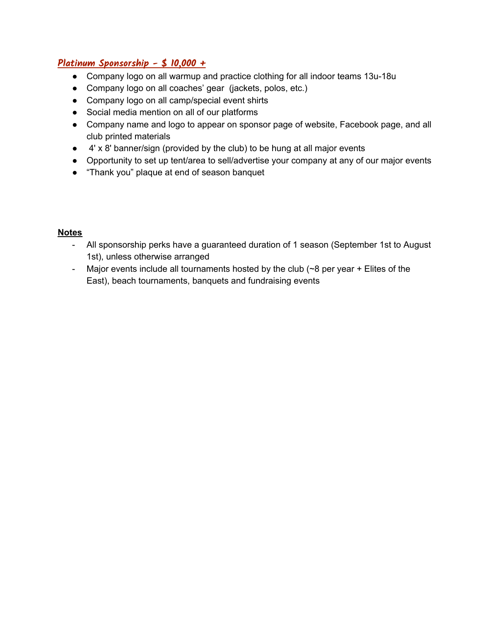# **Platinum Sponsorship - \$ 10,000 +**

- Company logo on all warmup and practice clothing for all indoor teams 13u-18u
- Company logo on all coaches' gear (jackets, polos, etc.)
- Company logo on all camp/special event shirts
- Social media mention on all of our platforms
- Company name and logo to appear on sponsor page of website, Facebook page, and all club printed materials
- 4' x 8' banner/sign (provided by the club) to be hung at all major events
- Opportunity to set up tent/area to sell/advertise your company at any of our major events
- "Thank you" plaque at end of season banquet

#### **Notes**

- All sponsorship perks have a guaranteed duration of 1 season (September 1st to August 1st), unless otherwise arranged
- Major events include all tournaments hosted by the club (~8 per year + Elites of the East), beach tournaments, banquets and fundraising events